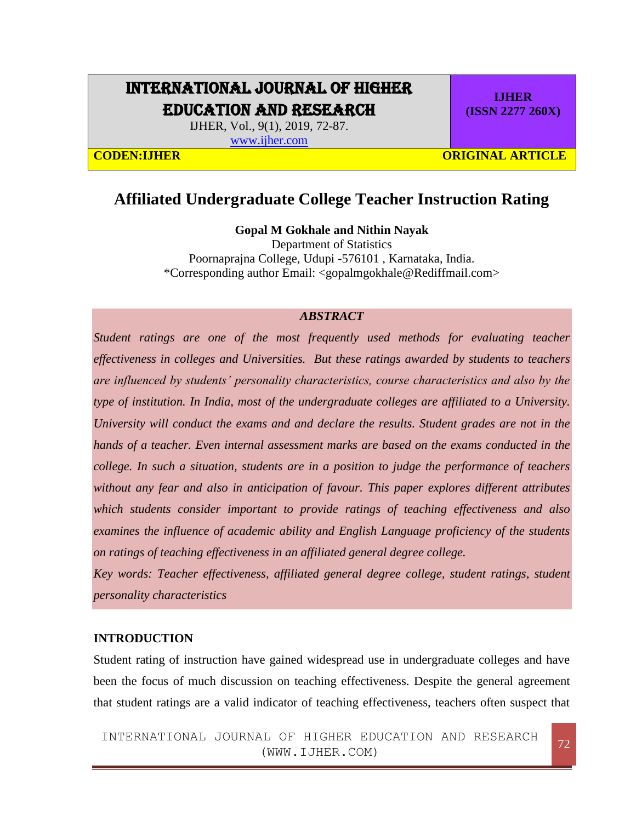# INTERNATIONAL JOURNAL OF HIGHER EDUCATION AND RESEARCH

IJHER, Vol., 9(1), 2019, 72-87.

[www.ijher.com](http://www.ijher.com/)

**IJHER (ISSN 2277 260X)**

**CODEN:LIHER CODEN:** CODEN: CODEN: CODEN: CODEN: CODEN: CONFIGURAL ARTICLE

# **Affiliated Undergraduate College Teacher Instruction Rating**

**Gopal M Gokhale and Nithin Nayak**

Department of Statistics Poornaprajna College, Udupi -576101 , Karnataka, India. \*Corresponding author Email: <gopalmgokhale@Rediffmail.com>

#### *ABSTRACT*

*Student ratings are one of the most frequently used methods for evaluating teacher effectiveness in colleges and Universities. But these ratings awarded by students to teachers are influenced by students' personality characteristics, course characteristics and also by the type of institution. In India, most of the undergraduate colleges are affiliated to a University. University will conduct the exams and and declare the results. Student grades are not in the hands of a teacher. Even internal assessment marks are based on the exams conducted in the college. In such a situation, students are in a position to judge the performance of teachers without any fear and also in anticipation of favour. This paper explores different attributes which students consider important to provide ratings of teaching effectiveness and also examines the influence of academic ability and English Language proficiency of the students on ratings of teaching effectiveness in an affiliated general degree college.* 

*Key words: Teacher effectiveness, affiliated general degree college, student ratings, student personality characteristics* 

### **INTRODUCTION**

Student rating of instruction have gained widespread use in undergraduate colleges and have been the focus of much discussion on teaching effectiveness. Despite the general agreement that student ratings are a valid indicator of teaching effectiveness, teachers often suspect that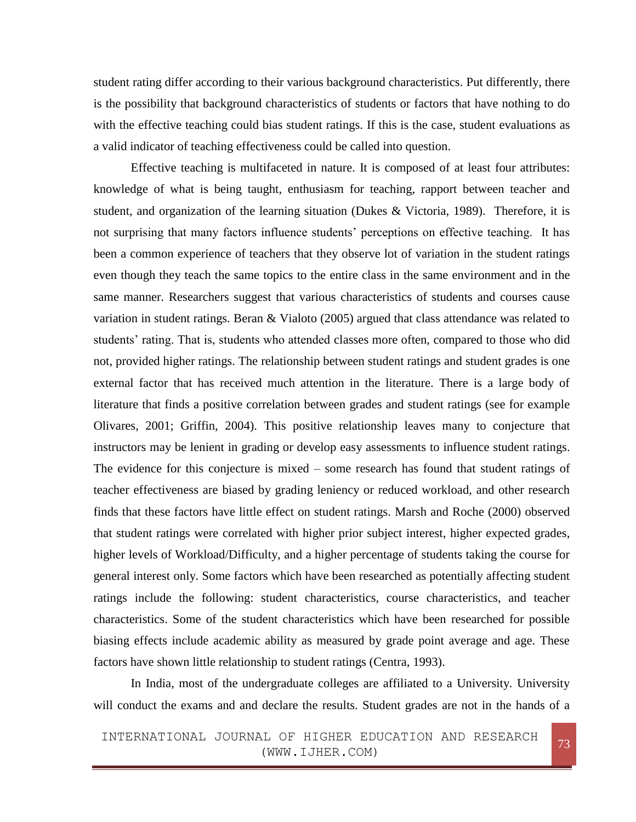student rating differ according to their various background characteristics. Put differently, there is the possibility that background characteristics of students or factors that have nothing to do with the effective teaching could bias student ratings. If this is the case, student evaluations as a valid indicator of teaching effectiveness could be called into question.

Effective teaching is multifaceted in nature. It is composed of at least four attributes: knowledge of what is being taught, enthusiasm for teaching, rapport between teacher and student, and organization of the learning situation (Dukes & Victoria, 1989). Therefore, it is not surprising that many factors influence students' perceptions on effective teaching. It has been a common experience of teachers that they observe lot of variation in the student ratings even though they teach the same topics to the entire class in the same environment and in the same manner. Researchers suggest that various characteristics of students and courses cause variation in student ratings. Beran & Vialoto (2005) argued that class attendance was related to students' rating. That is, students who attended classes more often, compared to those who did not, provided higher ratings. The relationship between student ratings and student grades is one external factor that has received much attention in the literature. There is a large body of literature that finds a positive correlation between grades and student ratings (see for example Olivares, 2001; Griffin, 2004). This positive relationship leaves many to conjecture that instructors may be lenient in grading or develop easy assessments to influence student ratings. The evidence for this conjecture is mixed – some research has found that student ratings of teacher effectiveness are biased by grading leniency or reduced workload, and other research finds that these factors have little effect on student ratings. Marsh and Roche (2000) observed that student ratings were correlated with higher prior subject interest, higher expected grades, higher levels of Workload/Difficulty, and a higher percentage of students taking the course for general interest only. Some factors which have been researched as potentially affecting student ratings include the following: student characteristics, course characteristics, and teacher characteristics. Some of the student characteristics which have been researched for possible biasing effects include academic ability as measured by grade point average and age. These factors have shown little relationship to student ratings (Centra, 1993).

In India, most of the undergraduate colleges are affiliated to a University. University will conduct the exams and and declare the results. Student grades are not in the hands of a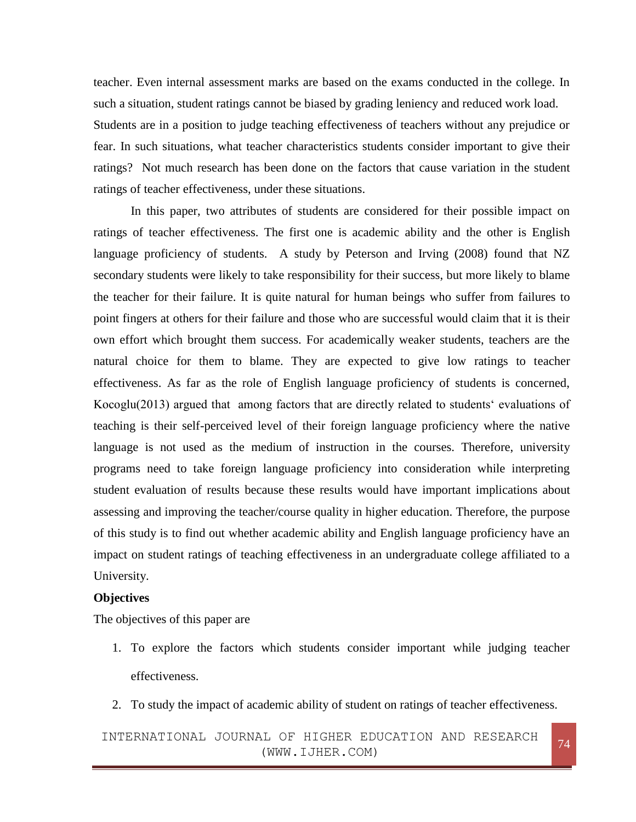teacher. Even internal assessment marks are based on the exams conducted in the college. In such a situation, student ratings cannot be biased by grading leniency and reduced work load. Students are in a position to judge teaching effectiveness of teachers without any prejudice or fear. In such situations, what teacher characteristics students consider important to give their ratings? Not much research has been done on the factors that cause variation in the student ratings of teacher effectiveness, under these situations.

In this paper, two attributes of students are considered for their possible impact on ratings of teacher effectiveness. The first one is academic ability and the other is English language proficiency of students. A study by Peterson and Irving (2008) found that NZ secondary students were likely to take responsibility for their success, but more likely to blame the teacher for their failure. It is quite natural for human beings who suffer from failures to point fingers at others for their failure and those who are successful would claim that it is their own effort which brought them success. For academically weaker students, teachers are the natural choice for them to blame. They are expected to give low ratings to teacher effectiveness. As far as the role of English language proficiency of students is concerned, Kocoglu(2013) argued that among factors that are directly related to students' evaluations of teaching is their self-perceived level of their foreign language proficiency where the native language is not used as the medium of instruction in the courses. Therefore, university programs need to take foreign language proficiency into consideration while interpreting student evaluation of results because these results would have important implications about assessing and improving the teacher/course quality in higher education. Therefore, the purpose of this study is to find out whether academic ability and English language proficiency have an impact on student ratings of teaching effectiveness in an undergraduate college affiliated to a University.

#### **Objectives**

The objectives of this paper are

- 1. To explore the factors which students consider important while judging teacher effectiveness.
- 2. To study the impact of academic ability of student on ratings of teacher effectiveness.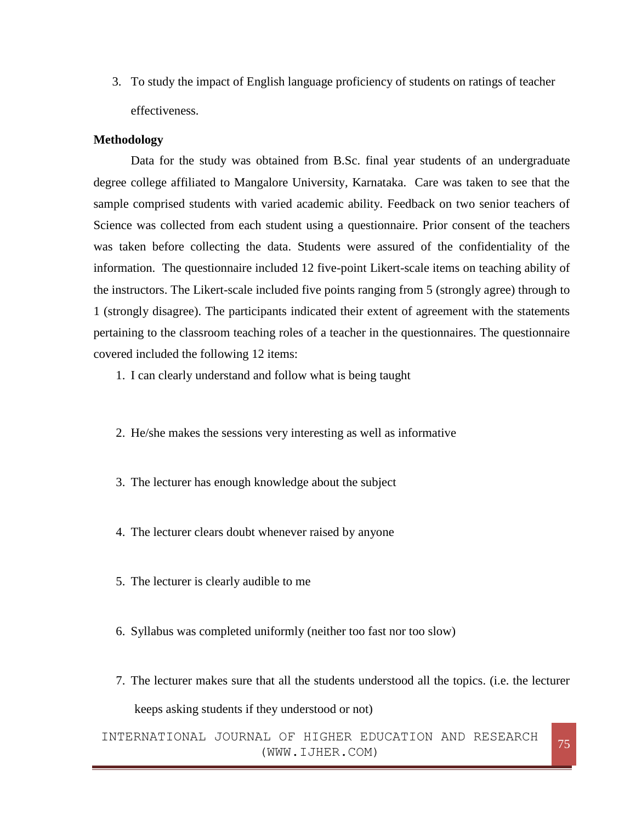3. To study the impact of English language proficiency of students on ratings of teacher effectiveness.

#### **Methodology**

Data for the study was obtained from B.Sc. final year students of an undergraduate degree college affiliated to Mangalore University, Karnataka. Care was taken to see that the sample comprised students with varied academic ability. Feedback on two senior teachers of Science was collected from each student using a questionnaire. Prior consent of the teachers was taken before collecting the data. Students were assured of the confidentiality of the information. The questionnaire included 12 five-point Likert-scale items on teaching ability of the instructors. The Likert-scale included five points ranging from 5 (strongly agree) through to 1 (strongly disagree). The participants indicated their extent of agreement with the statements pertaining to the classroom teaching roles of a teacher in the questionnaires. The questionnaire covered included the following 12 items:

1. I can clearly understand and follow what is being taught

- 2. He/she makes the sessions very interesting as well as informative
- 3. The lecturer has enough knowledge about the subject
- 4. The lecturer clears doubt whenever raised by anyone
- 5. The lecturer is clearly audible to me
- 6. Syllabus was completed uniformly (neither too fast nor too slow)
- 7. The lecturer makes sure that all the students understood all the topics. (i.e. the lecturer keeps asking students if they understood or not)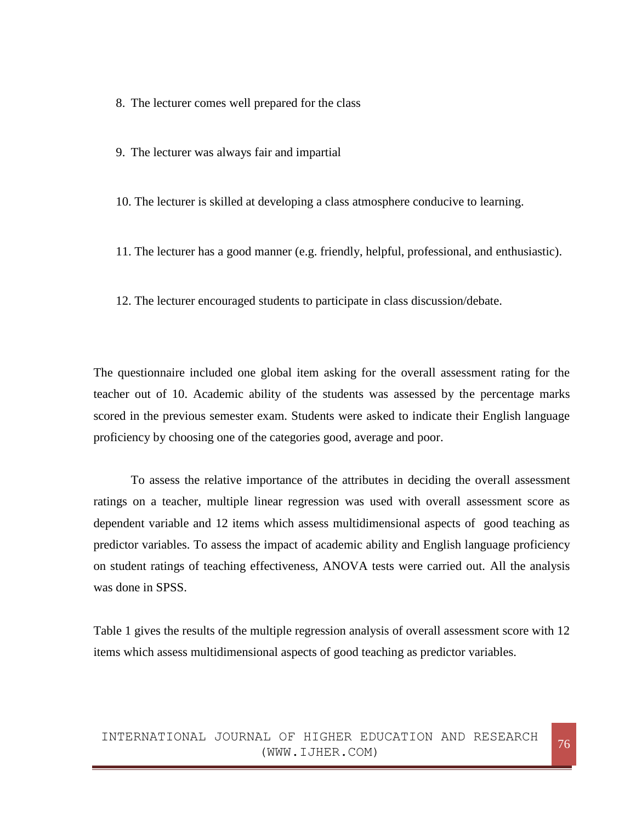8. The lecturer comes well prepared for the class

9. The lecturer was always fair and impartial

10. The lecturer is skilled at developing a class atmosphere conducive to learning.

11. The lecturer has a good manner (e.g. friendly, helpful, professional, and enthusiastic).

12. The lecturer encouraged students to participate in class discussion/debate.

The questionnaire included one global item asking for the overall assessment rating for the teacher out of 10. Academic ability of the students was assessed by the percentage marks scored in the previous semester exam. Students were asked to indicate their English language proficiency by choosing one of the categories good, average and poor.

To assess the relative importance of the attributes in deciding the overall assessment ratings on a teacher, multiple linear regression was used with overall assessment score as dependent variable and 12 items which assess multidimensional aspects of good teaching as predictor variables. To assess the impact of academic ability and English language proficiency on student ratings of teaching effectiveness, ANOVA tests were carried out. All the analysis was done in SPSS.

Table 1 gives the results of the multiple regression analysis of overall assessment score with 12 items which assess multidimensional aspects of good teaching as predictor variables.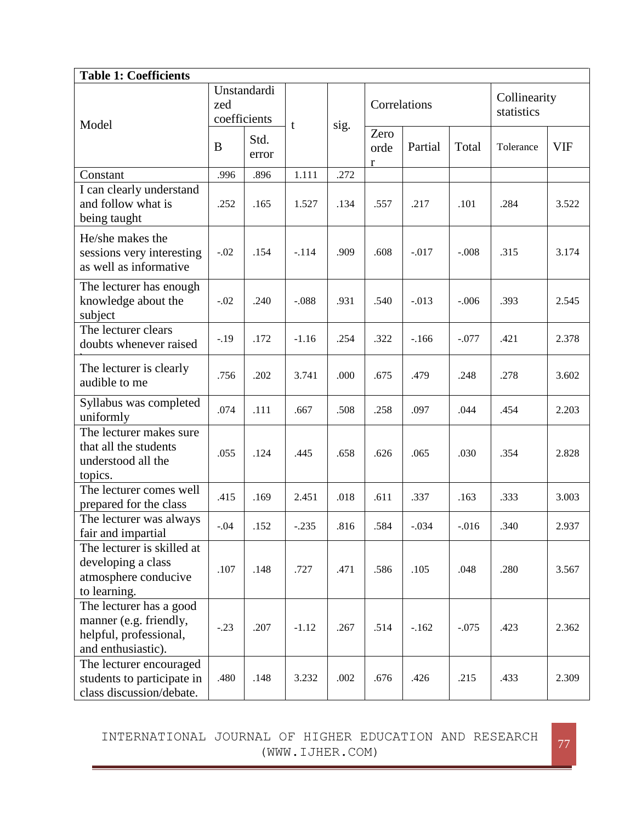| <b>Table 1: Coefficients</b>                                                                      |                                    |               |         |      |                   |         |          |                            |            |
|---------------------------------------------------------------------------------------------------|------------------------------------|---------------|---------|------|-------------------|---------|----------|----------------------------|------------|
| Model                                                                                             | Unstandardi<br>zed<br>coefficients |               | t       | sig. | Correlations      |         |          | Collinearity<br>statistics |            |
|                                                                                                   | B                                  | Std.<br>error |         |      | Zero<br>orde<br>r | Partial | Total    | Tolerance                  | <b>VIF</b> |
| Constant                                                                                          | .996                               | .896          | 1.111   | .272 |                   |         |          |                            |            |
| I can clearly understand<br>and follow what is<br>being taught                                    | .252                               | .165          | 1.527   | .134 | .557              | .217    | .101     | .284                       | 3.522      |
| He/she makes the<br>sessions very interesting<br>as well as informative                           | $-.02$                             | .154          | $-.114$ | .909 | .608              | $-.017$ | $-.008$  | .315                       | 3.174      |
| The lecturer has enough<br>knowledge about the<br>subject                                         | $-.02$                             | .240          | $-.088$ | .931 | .540              | $-.013$ | $-.006$  | .393                       | 2.545      |
| The lecturer clears<br>doubts whenever raised                                                     | $-.19$                             | .172          | $-1.16$ | .254 | .322              | $-166$  | $-.077$  | .421                       | 2.378      |
| The lecturer is clearly<br>audible to me                                                          | .756                               | .202          | 3.741   | .000 | .675              | .479    | .248     | .278                       | 3.602      |
| Syllabus was completed<br>uniformly                                                               | .074                               | .111          | .667    | .508 | .258              | .097    | .044     | .454                       | 2.203      |
| The lecturer makes sure<br>that all the students<br>understood all the<br>topics.                 | .055                               | .124          | .445    | .658 | .626              | .065    | .030     | .354                       | 2.828      |
| The lecturer comes well<br>prepared for the class                                                 | .415                               | .169          | 2.451   | .018 | .611              | .337    | .163     | .333                       | 3.003      |
| The lecturer was always<br>fair and impartial                                                     | $-.04$                             | .152          | $-.235$ | .816 | .584              | $-.034$ | $-0.016$ | .340                       | 2.937      |
| The lecturer is skilled at<br>developing a class<br>atmosphere conducive<br>to learning.          | .107                               | .148          | .727    | .471 | .586              | .105    | .048     | .280                       | 3.567      |
| The lecturer has a good<br>manner (e.g. friendly,<br>helpful, professional,<br>and enthusiastic). | $-.23$                             | .207          | $-1.12$ | .267 | .514              | $-.162$ | $-.075$  | .423                       | 2.362      |
| The lecturer encouraged<br>students to participate in<br>class discussion/debate.                 | .480                               | .148          | 3.232   | .002 | .676              | .426    | .215     | .433                       | 2.309      |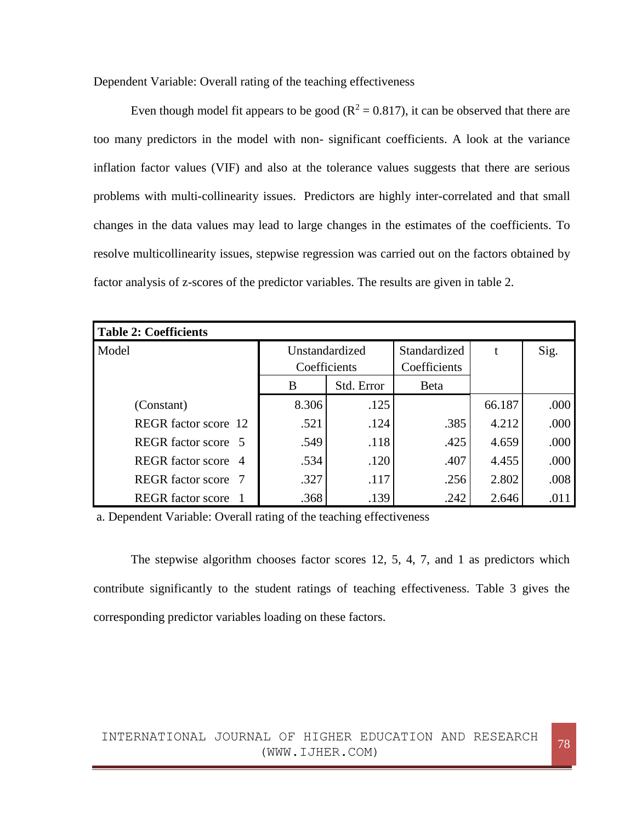Dependent Variable: Overall rating of the teaching effectiveness

Even though model fit appears to be good ( $R^2 = 0.817$ ), it can be observed that there are too many predictors in the model with non- significant coefficients. A look at the variance inflation factor values (VIF) and also at the tolerance values suggests that there are serious problems with multi-collinearity issues. Predictors are highly inter-correlated and that small changes in the data values may lead to large changes in the estimates of the coefficients. To resolve multicollinearity issues, stepwise regression was carried out on the factors obtained by factor analysis of z-scores of the predictor variables. The results are given in table 2.

| Table 2: Coefficients    |                                |            |                              |        |      |
|--------------------------|--------------------------------|------------|------------------------------|--------|------|
| Model                    | Unstandardized<br>Coefficients |            | Standardized<br>Coefficients | t      | Sig. |
|                          | B                              | Std. Error | <b>B</b> eta                 |        |      |
| (Constant)               | 8.306                          | .125       |                              | 66.187 | .000 |
| REGR factor score 12     | .521                           | .124       | .385                         | 4.212  | .000 |
| REGR factor score 5      | .549                           | .118       | .425                         | 4.659  | .000 |
| REGR factor score 4      | .534                           | .120       | .407                         | 4.455  | .000 |
| REGR factor score 7      | .327                           | .117       | .256                         | 2.802  | .008 |
| <b>REGR</b> factor score | .368                           | .139       | .242                         | 2.646  | .011 |

a. Dependent Variable: Overall rating of the teaching effectiveness

The stepwise algorithm chooses factor scores 12, 5, 4, 7, and 1 as predictors which contribute significantly to the student ratings of teaching effectiveness. Table 3 gives the corresponding predictor variables loading on these factors.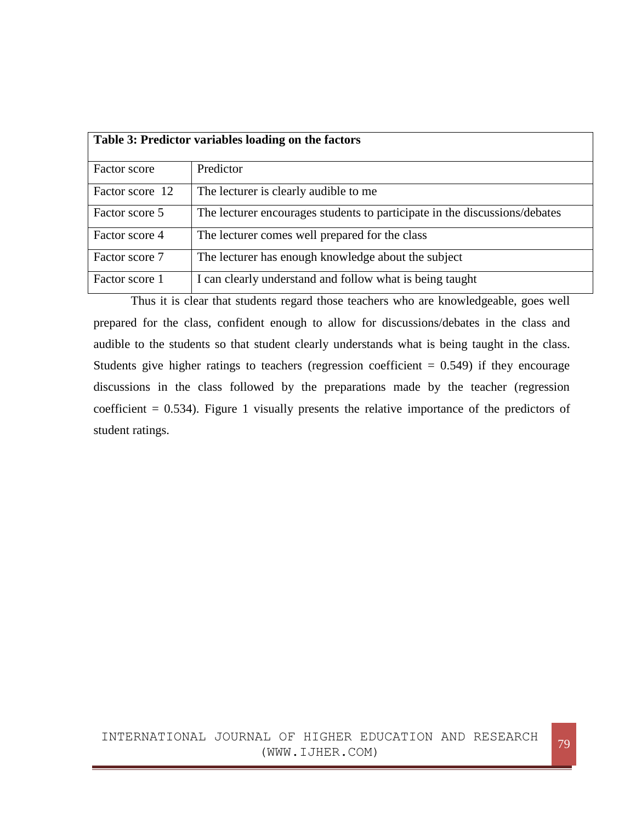|                 | Table 3: Predictor variables loading on the factors                        |
|-----------------|----------------------------------------------------------------------------|
| Factor score    | Predictor                                                                  |
| Factor score 12 | The lecturer is clearly audible to me                                      |
| Factor score 5  | The lecturer encourages students to participate in the discussions/debates |
| Factor score 4  | The lecturer comes well prepared for the class                             |
| Factor score 7  | The lecturer has enough knowledge about the subject                        |
| Factor score 1  | I can clearly understand and follow what is being taught                   |

Thus it is clear that students regard those teachers who are knowledgeable, goes well prepared for the class, confident enough to allow for discussions/debates in the class and audible to the students so that student clearly understands what is being taught in the class. Students give higher ratings to teachers (regression coefficient  $= 0.549$ ) if they encourage discussions in the class followed by the preparations made by the teacher (regression coefficient  $= 0.534$ ). Figure 1 visually presents the relative importance of the predictors of student ratings.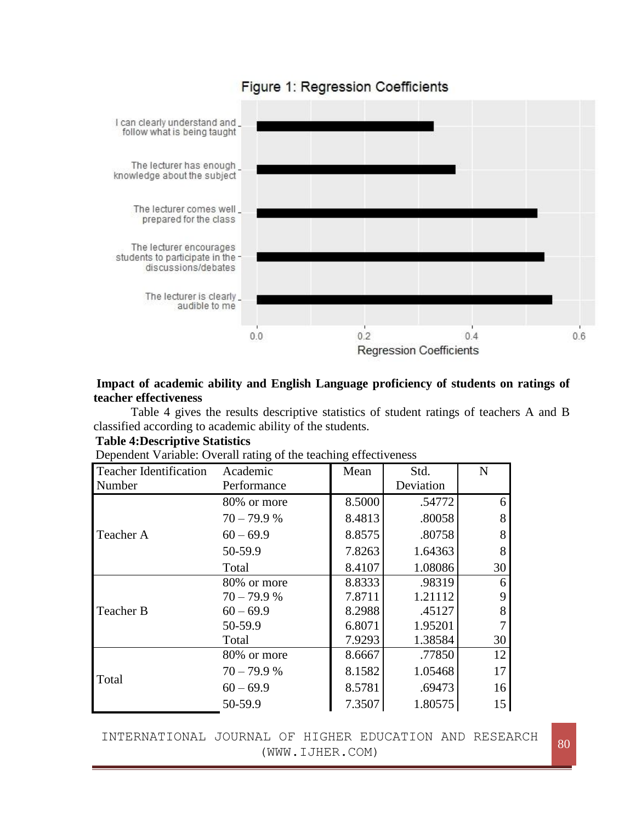

# Figure 1: Regression Coefficients

# **Impact of academic ability and English Language proficiency of students on ratings of teacher effectiveness**

Table 4 gives the results descriptive statistics of student ratings of teachers A and B classified according to academic ability of the students.

# **Table 4:Descriptive Statistics**

| <b>Teacher Identification</b> | Academic      | Mean   | Std.      | $\mathbf N$ |
|-------------------------------|---------------|--------|-----------|-------------|
| Number                        | Performance   |        | Deviation |             |
|                               | 80% or more   | 8.5000 | .54772    | 6           |
|                               | $70 - 79.9 %$ | 8.4813 | .80058    | 8           |
| Teacher A                     | $60 - 69.9$   | 8.8575 | .80758    | 8           |
|                               | 50-59.9       | 7.8263 | 1.64363   | 8           |
|                               | Total         | 8.4107 | 1.08086   | 30          |
|                               | 80% or more   | 8.8333 | .98319    | 6           |
|                               | $70 - 79.9 %$ | 7.8711 | 1.21112   | 9           |
| Teacher B                     | $60 - 69.9$   | 8.2988 | .45127    | 8           |
|                               | 50-59.9       | 6.8071 | 1.95201   |             |
|                               | Total         | 7.9293 | 1.38584   | 30          |
|                               | 80% or more   | 8.6667 | .77850    | 12          |
| Total                         | $70 - 79.9 %$ | 8.1582 | 1.05468   | 17          |
|                               | $60 - 69.9$   | 8.5781 | .69473    | 16          |
|                               | 50-59.9       | 7.3507 | 1.80575   | 15          |

Dependent Variable: Overall rating of the teaching effectiveness

INTERNATIONAL JOURNAL OF HIGHER EDUCATION AND RESEARCH (WWW.IJHER.COM) (WWW.IJHER.COM)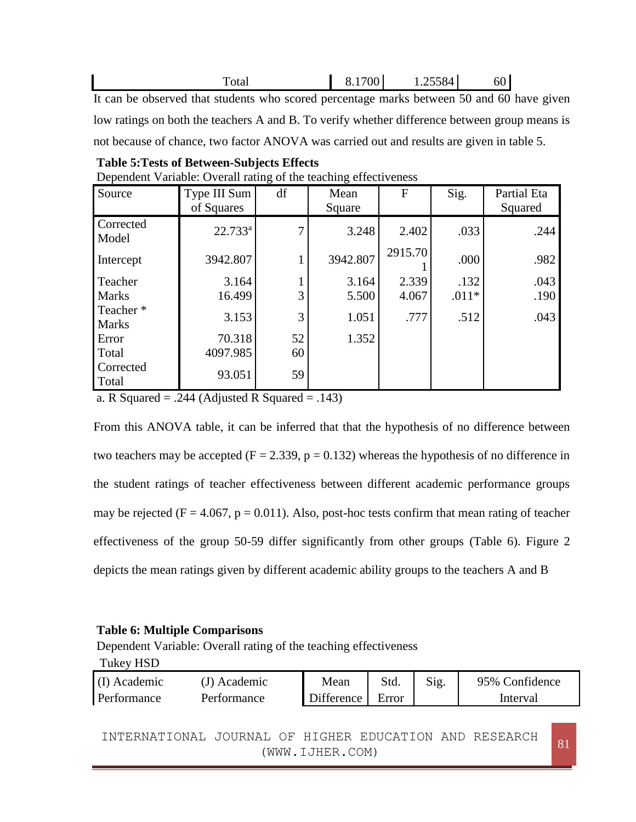|                                                                                    |  | hU |  |
|------------------------------------------------------------------------------------|--|----|--|
| It can be observed that students who seemed negatives may be between 50 and 60 bes |  |    |  |

It can be observed that students who scored percentage marks between 50 and 60 have given low ratings on both the teachers A and B. To verify whether difference between group means is not because of chance, two factor ANOVA was carried out and results are given in table 5.

| Source                   | Type III Sum<br>of Squares | $\circ$<br>df | $\circ$<br>Mean<br>Square | ${\bf F}$ | Sig.    | Partial Eta<br>Squared |
|--------------------------|----------------------------|---------------|---------------------------|-----------|---------|------------------------|
| Corrected<br>Model       | $22.733^a$                 | 7             | 3.248                     | 2.402     | .033    | .244                   |
| Intercept                | 3942.807                   |               | 3942.807                  | 2915.70   | .000    | .982                   |
| Teacher                  | 3.164                      |               | 3.164                     | 2.339     | .132    | .043                   |
| <b>Marks</b>             | 16.499                     | 3             | 5.500                     | 4.067     | $.011*$ | .190                   |
| Teacher*<br><b>Marks</b> | 3.153                      | 3             | 1.051                     | .777      | .512    | .043                   |
| Error                    | 70.318                     | 52            | 1.352                     |           |         |                        |
| Total                    | 4097.985                   | 60            |                           |           |         |                        |
| Corrected<br>Total       | 93.051                     | 59            |                           |           |         |                        |

**Table 5:Tests of Between-Subjects Effects** Dependent Variable: Overall rating of the teaching effectiveness

a. R Squared  $= .244$  (Adjusted R Squared  $= .143$ )

From this ANOVA table, it can be inferred that that the hypothesis of no difference between two teachers may be accepted ( $F = 2.339$ ,  $p = 0.132$ ) whereas the hypothesis of no difference in the student ratings of teacher effectiveness between different academic performance groups may be rejected ( $F = 4.067$ ,  $p = 0.011$ ). Also, post-hoc tests confirm that mean rating of teacher effectiveness of the group 50-59 differ significantly from other groups (Table 6). Figure 2 depicts the mean ratings given by different academic ability groups to the teachers A and B

# **Table 6: Multiple Comparisons**

Dependent Variable: Overall rating of the teaching effectiveness

| Tukey HSD    |                                                        |  |            |       |      |                |  |
|--------------|--------------------------------------------------------|--|------------|-------|------|----------------|--|
| (I) Academic | (J) Academic                                           |  | Mean       | Std.  | Sig. | 95% Confidence |  |
| Performance  | Performance                                            |  | Difference | Error |      | Interval       |  |
|              |                                                        |  |            |       |      |                |  |
|              | INTERNATIONAL JOURNAL OF HIGHER EDUCATION AND RESEARCH |  |            |       |      |                |  |

(WWW.IJHER.COM) <sup>81</sup>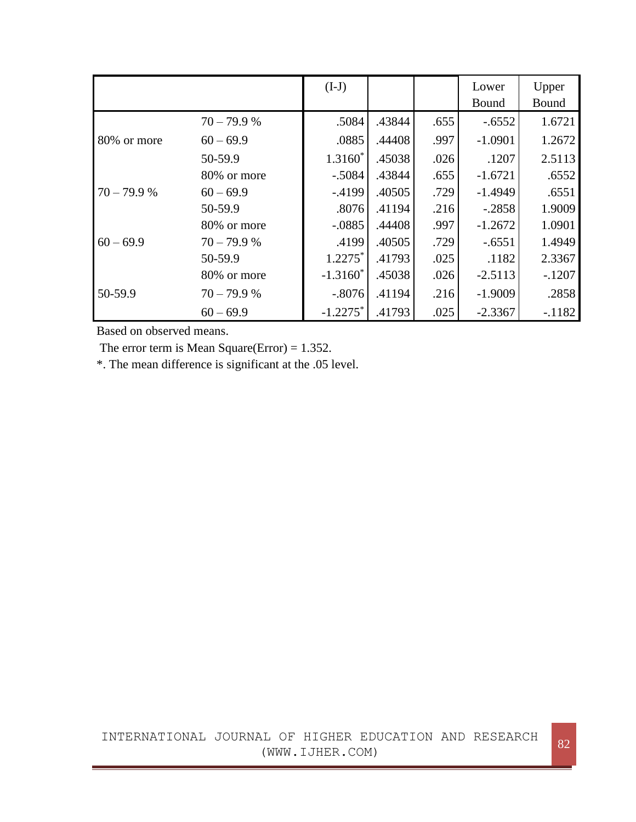|              |               | $(I-J)$                |        |      | Lower     | Upper    |
|--------------|---------------|------------------------|--------|------|-----------|----------|
|              |               |                        |        |      | Bound     | Bound    |
|              | $70 - 79.9 %$ | .5084                  | .43844 | .655 | $-.6552$  | 1.6721   |
| 80% or more  | $60 - 69.9$   | .0885                  | .44408 | .997 | $-1.0901$ | 1.2672   |
|              | 50-59.9       | $1.3160*$              | .45038 | .026 | .1207     | 2.5113   |
|              | 80% or more   | $-.5084$               | .43844 | .655 | $-1.6721$ | .6552    |
| $70 - 79.9%$ | $60 - 69.9$   | $-4199$                | .40505 | .729 | $-1.4949$ | .6551    |
|              | 50-59.9       | .8076                  | .41194 | .216 | $-.2858$  | 1.9009   |
|              | 80% or more   | $-.0885$               | .44408 | .997 | $-1.2672$ | 1.0901   |
| $60 - 69.9$  | $70 - 79.9 %$ | .4199                  | .40505 | .729 | $-.6551$  | 1.4949   |
|              | 50-59.9       | $1.2275*$              | .41793 | .025 | .1182     | 2.3367   |
|              | 80% or more   | $-1.3160^*$            | .45038 | .026 | $-2.5113$ | $-.1207$ |
| 50-59.9      | $70 - 79.9 %$ | $-.8076$               | .41194 | .216 | $-1.9009$ | .2858    |
|              | $60 - 69.9$   | $-1.2275$ <sup>*</sup> | .41793 | .025 | $-2.3367$ | $-.1182$ |

Based on observed means.

The error term is Mean Square(Error) =  $1.352$ .

\*. The mean difference is significant at the .05 level.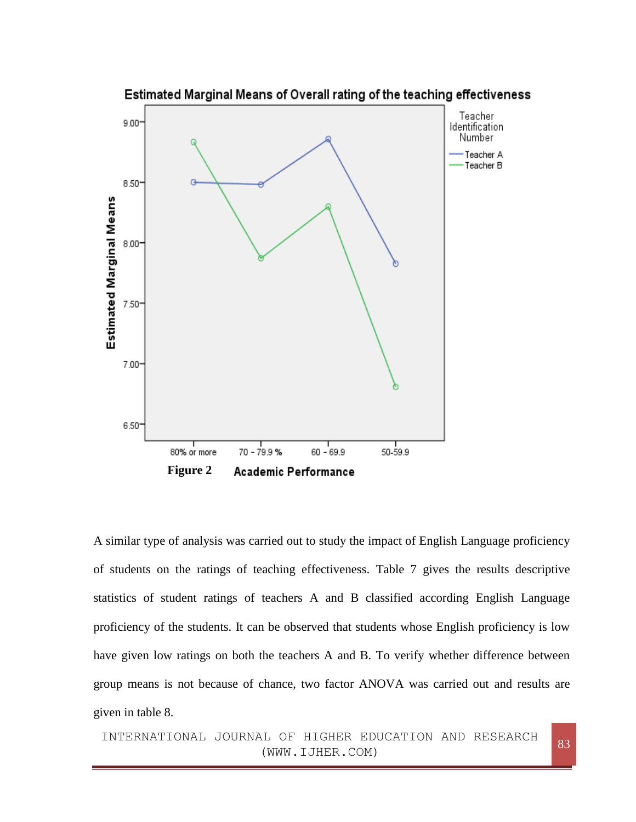

A similar type of analysis was carried out to study the impact of English Language proficiency of students on the ratings of teaching effectiveness. Table 7 gives the results descriptive statistics of student ratings of teachers A and B classified according English Language proficiency of the students. It can be observed that students whose English proficiency is low have given low ratings on both the teachers A and B. To verify whether difference between group means is not because of chance, two factor ANOVA was carried out and results are given in table 8.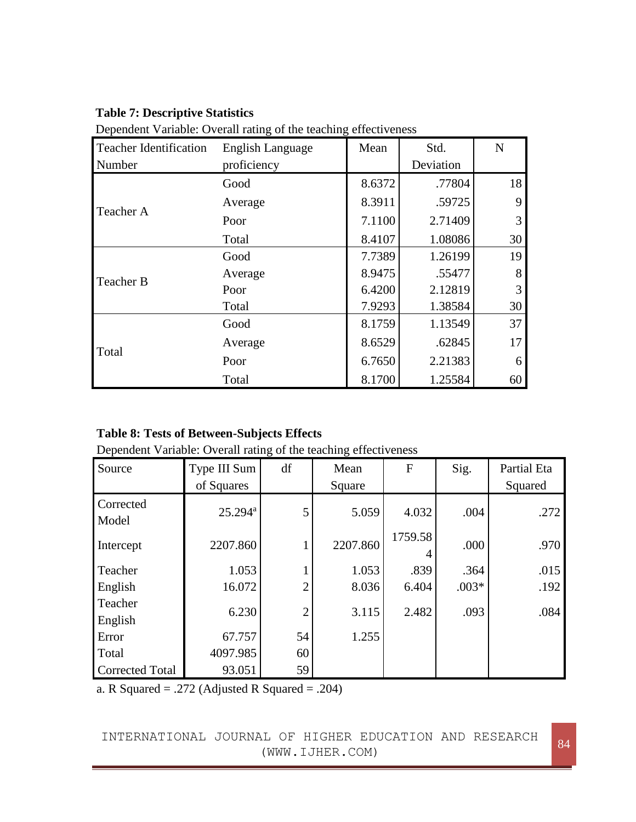### **Table 7: Descriptive Statistics**

| <b>Teacher Identification</b> | <b>English Language</b> | Mean   | Std.      | ${\bf N}$ |
|-------------------------------|-------------------------|--------|-----------|-----------|
| Number                        | proficiency             |        | Deviation |           |
|                               | Good                    | 8.6372 | .77804    | 18        |
| Teacher A                     | Average                 | 8.3911 | .59725    | 9         |
|                               | Poor                    | 7.1100 | 2.71409   | 3         |
|                               | Total                   | 8.4107 | 1.08086   | 30        |
|                               | Good                    | 7.7389 | 1.26199   | 19        |
| Teacher B                     | Average                 | 8.9475 | .55477    | 8         |
|                               | Poor                    | 6.4200 | 2.12819   | 3         |
|                               | Total                   | 7.9293 | 1.38584   | 30        |
|                               | Good                    | 8.1759 | 1.13549   | 37        |
| Total                         | Average                 | 8.6529 | .62845    | 17        |
|                               | Poor                    | 6.7650 | 2.21383   | 6         |
|                               | Total                   | 8.1700 | 1.25584   | 60        |

Dependent Variable: Overall rating of the teaching effectiveness

# **Table 8: Tests of Between-Subjects Effects**

Dependent Variable: Overall rating of the teaching effectiveness

| Source                 | Type III Sum<br>of Squares | df             | Mean<br>Square | F       | Sig.    | Partial Eta<br>Squared |
|------------------------|----------------------------|----------------|----------------|---------|---------|------------------------|
| Corrected<br>Model     | $25.294^a$                 | 5              | 5.059          | 4.032   | .004    | .272                   |
| Intercept              | 2207.860                   |                | 2207.860       | 1759.58 | .000    | .970                   |
| Teacher                | 1.053                      |                | 1.053          | .839    | .364    | .015                   |
| English                | 16.072                     | $\overline{2}$ | 8.036          | 6.404   | $.003*$ | .192                   |
| Teacher<br>English     | 6.230                      | $\overline{2}$ | 3.115          | 2.482   | .093    | .084                   |
| Error                  | 67.757                     | 54             | 1.255          |         |         |                        |
| Total                  | 4097.985                   | 60             |                |         |         |                        |
| <b>Corrected Total</b> | 93.051                     | 59             |                |         |         |                        |

a. R Squared = .272 (Adjusted R Squared = .204)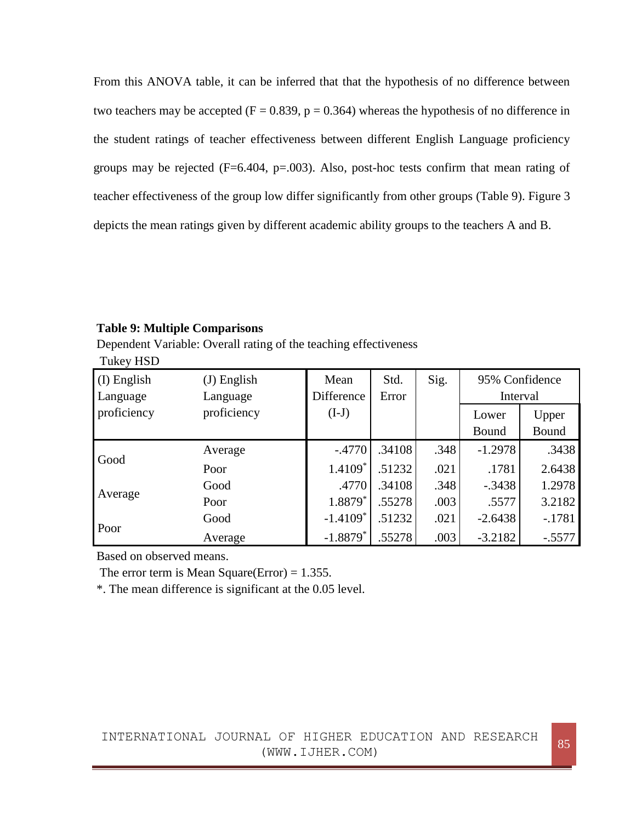From this ANOVA table, it can be inferred that that the hypothesis of no difference between two teachers may be accepted ( $F = 0.839$ ,  $p = 0.364$ ) whereas the hypothesis of no difference in the student ratings of teacher effectiveness between different English Language proficiency groups may be rejected  $(F=6.404, p=.003)$ . Also, post-hoc tests confirm that mean rating of teacher effectiveness of the group low differ significantly from other groups (Table 9). Figure 3 depicts the mean ratings given by different academic ability groups to the teachers A and B.

#### **Table 9: Multiple Comparisons**

Dependent Variable: Overall rating of the teaching effectiveness Tukey HSD

| (I) English<br>Language | $(J)$ English<br>Language | Mean<br><b>Difference</b> | Std.<br>Error | Sig. | 95% Confidence<br>Interval |                |
|-------------------------|---------------------------|---------------------------|---------------|------|----------------------------|----------------|
| proficiency             | proficiency               | $(I-J)$                   |               |      | Lower<br>Bound             | Upper<br>Bound |
|                         | Average                   | $-.4770$                  | .34108        | .348 | $-1.2978$                  | .3438          |
| Good                    | Poor                      | 1.4109*                   | .51232        | .021 | .1781                      | 2.6438         |
|                         | Good                      | .4770                     | .34108        | .348 | $-.3438$                   | 1.2978         |
| Average                 | Poor                      | $1.8879*$                 | .55278        | .003 | .5577                      | 3.2182         |
| Poor                    | Good                      | $-1.4109*$                | .51232        | .021 | $-2.6438$                  | $-.1781$       |
|                         | Average                   | $-1.8879*$                | .55278        | .003 | $-3.2182$                  | $-.5577$       |

Based on observed means.

The error term is Mean Square(Error) =  $1.355$ .

\*. The mean difference is significant at the 0.05 level.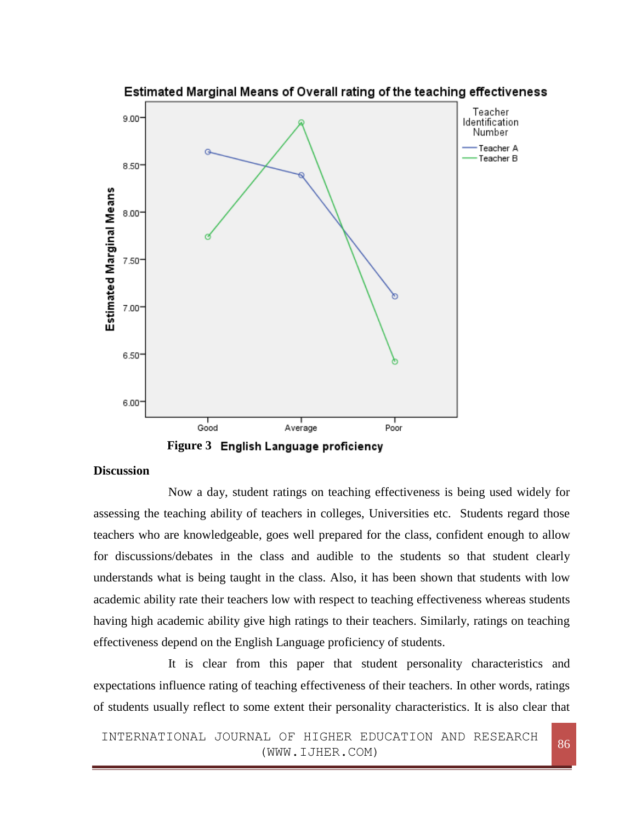



#### **Discussion**

Now a day, student ratings on teaching effectiveness is being used widely for assessing the teaching ability of teachers in colleges, Universities etc. Students regard those teachers who are knowledgeable, goes well prepared for the class, confident enough to allow for discussions/debates in the class and audible to the students so that student clearly understands what is being taught in the class. Also, it has been shown that students with low academic ability rate their teachers low with respect to teaching effectiveness whereas students having high academic ability give high ratings to their teachers. Similarly, ratings on teaching effectiveness depend on the English Language proficiency of students.

It is clear from this paper that student personality characteristics and expectations influence rating of teaching effectiveness of their teachers. In other words, ratings of students usually reflect to some extent their personality characteristics. It is also clear that